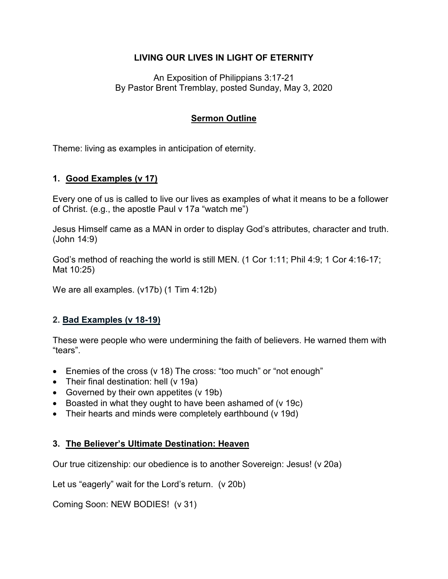## **LIVING OUR LIVES IN LIGHT OF ETERNITY**

An Exposition of Philippians 3:17-21 By Pastor Brent Tremblay, posted Sunday, May 3, 2020

# **Sermon Outline**

Theme: living as examples in anticipation of eternity.

#### **1. Good Examples (v 17)**

Every one of us is called to live our lives as examples of what it means to be a follower of Christ. (e.g., the apostle Paul v 17a "watch me")

Jesus Himself came as a MAN in order to display God's attributes, character and truth. (John 14:9)

God's method of reaching the world is still MEN. (1 Cor 1:11; Phil 4:9; 1 Cor 4:16-17; Mat 10:25)

We are all examples. (v17b) (1 Tim 4:12b)

## **2. Bad Examples (v 18-19)**

These were people who were undermining the faith of believers. He warned them with "tears".

- Enemies of the cross (v 18) The cross: "too much" or "not enough"
- Their final destination: hell (v 19a)
- Governed by their own appetites (v 19b)
- Boasted in what they ought to have been ashamed of (v 19c)
- Their hearts and minds were completely earthbound (v 19d)

## **3. The Believer's Ultimate Destination: Heaven**

Our true citizenship: our obedience is to another Sovereign: Jesus! (v 20a)

Let us "eagerly" wait for the Lord's return. (v 20b)

Coming Soon: NEW BODIES! (v 31)